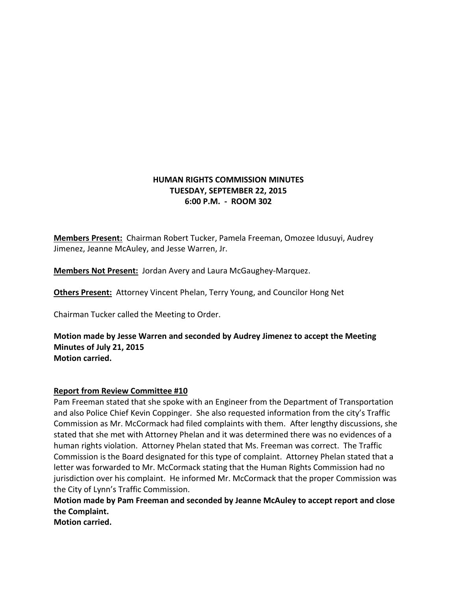# **HUMAN RIGHTS COMMISSION MINUTES TUESDAY, SEPTEMBER 22, 2015 6:00 P.M. - ROOM 302**

**Members Present:** Chairman Robert Tucker, Pamela Freeman, Omozee Idusuyi, Audrey Jimenez, Jeanne McAuley, and Jesse Warren, Jr.

**Members Not Present:** Jordan Avery and Laura McGaughey-Marquez.

**Others Present:** Attorney Vincent Phelan, Terry Young, and Councilor Hong Net

Chairman Tucker called the Meeting to Order.

**Motion made by Jesse Warren and seconded by Audrey Jimenez to accept the Meeting Minutes of July 21, 2015 Motion carried.**

# **Report from Review Committee #10**

Pam Freeman stated that she spoke with an Engineer from the Department of Transportation and also Police Chief Kevin Coppinger. She also requested information from the city's Traffic Commission as Mr. McCormack had filed complaints with them. After lengthy discussions, she stated that she met with Attorney Phelan and it was determined there was no evidences of a human rights violation. Attorney Phelan stated that Ms. Freeman was correct. The Traffic Commission is the Board designated for this type of complaint. Attorney Phelan stated that a letter was forwarded to Mr. McCormack stating that the Human Rights Commission had no jurisdiction over his complaint. He informed Mr. McCormack that the proper Commission was the City of Lynn's Traffic Commission.

**Motion made by Pam Freeman and seconded by Jeanne McAuley to accept report and close the Complaint.**

**Motion carried.**